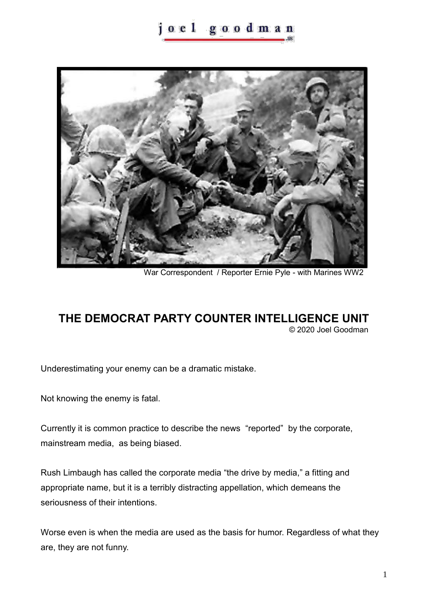## oel goodman



War Correspondent / Reporter Ernie Pyle - with Marines WW2

## **THE DEMOCRAT PARTY COUNTER INTELLIGENCE UNIT**

© 2020 Joel Goodman

Underestimating your enemy can be a dramatic mistake.

Not knowing the enemy is fatal.

Currently it is common practice to describe the news "reported" by the corporate, mainstream media, as being biased.

Rush Limbaugh has called the corporate media "the drive by media," a fitting and appropriate name, but it is a terribly distracting appellation, which demeans the seriousness of their intentions.

Worse even is when the media are used as the basis for humor. Regardless of what they are, they are not funny.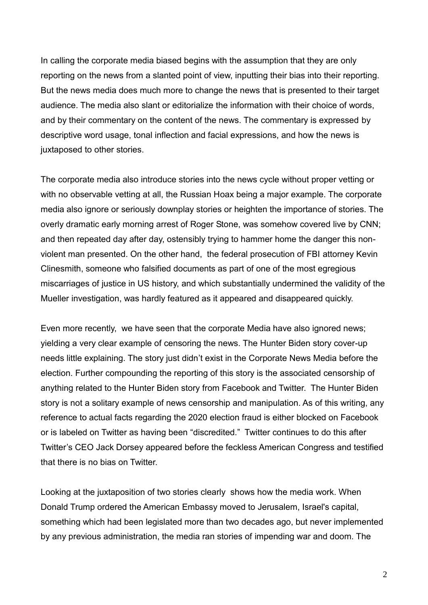In calling the corporate media biased begins with the assumption that they are only reporting on the news from a slanted point of view, inputting their bias into their reporting. But the news media does much more to change the news that is presented to their target audience. The media also slant or editorialize the information with their choice of words, and by their commentary on the content of the news. The commentary is expressed by descriptive word usage, tonal inflection and facial expressions, and how the news is juxtaposed to other stories.

The corporate media also introduce stories into the news cycle without proper vetting or with no observable vetting at all, the Russian Hoax being a major example. The corporate media also ignore or seriously downplay stories or heighten the importance of stories. The overly dramatic early morning arrest of Roger Stone, was somehow covered live by CNN; and then repeated day after day, ostensibly trying to hammer home the danger this nonviolent man presented. On the other hand, the federal prosecution of FBI attorney Kevin Clinesmith, someone who falsified documents as part of one of the most egregious miscarriages of justice in US history, and which substantially undermined the validity of the Mueller investigation, was hardly featured as it appeared and disappeared quickly.

Even more recently, we have seen that the corporate Media have also ignored news; yielding a very clear example of censoring the news. The Hunter Biden story cover-up needs little explaining. The story just didn't exist in the Corporate News Media before the election. Further compounding the reporting of this story is the associated censorship of anything related to the Hunter Biden story from Facebook and Twitter. The Hunter Biden story is not a solitary example of news censorship and manipulation. As of this writing, any reference to actual facts regarding the 2020 election fraud is either blocked on Facebook or is labeled on Twitter as having been "discredited." Twitter continues to do this after Twitter's CEO Jack Dorsey appeared before the feckless American Congress and testified that there is no bias on Twitter.

Looking at the juxtaposition of two stories clearly shows how the media work. When Donald Trump ordered the American Embassy moved to Jerusalem, Israel's capital, something which had been legislated more than two decades ago, but never implemented by any previous administration, the media ran stories of impending war and doom. The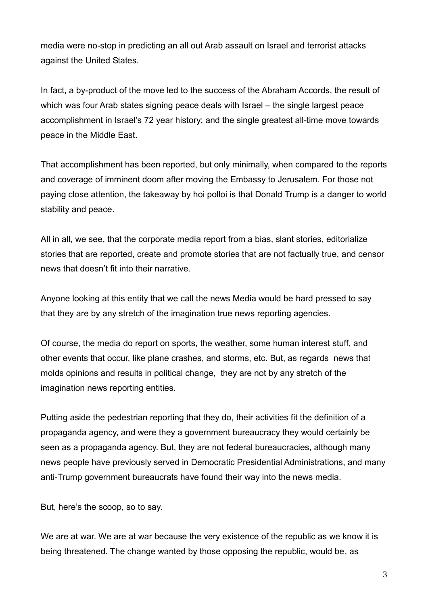media were no-stop in predicting an all out Arab assault on Israel and terrorist attacks against the United States.

In fact, a by-product of the move led to the success of the Abraham Accords, the result of which was four Arab states signing peace deals with Israel – the single largest peace accomplishment in Israel's 72 year history; and the single greatest all-time move towards peace in the Middle East.

That accomplishment has been reported, but only minimally, when compared to the reports and coverage of imminent doom after moving the Embassy to Jerusalem. For those not paying close attention, the takeaway by hoi polloi is that Donald Trump is a danger to world stability and peace.

All in all, we see, that the corporate media report from a bias, slant stories, editorialize stories that are reported, create and promote stories that are not factually true, and censor news that doesn't fit into their narrative.

Anyone looking at this entity that we call the news Media would be hard pressed to say that they are by any stretch of the imagination true news reporting agencies.

Of course, the media do report on sports, the weather, some human interest stuff, and other events that occur, like plane crashes, and storms, etc. But, as regards news that molds opinions and results in political change, they are not by any stretch of the imagination news reporting entities.

Putting aside the pedestrian reporting that they do, their activities fit the definition of a propaganda agency, and were they a government bureaucracy they would certainly be seen as a propaganda agency. But, they are not federal bureaucracies, although many news people have previously served in Democratic Presidential Administrations, and many anti-Trump government bureaucrats have found their way into the news media.

But, here's the scoop, so to say.

We are at war. We are at war because the very existence of the republic as we know it is being threatened. The change wanted by those opposing the republic, would be, as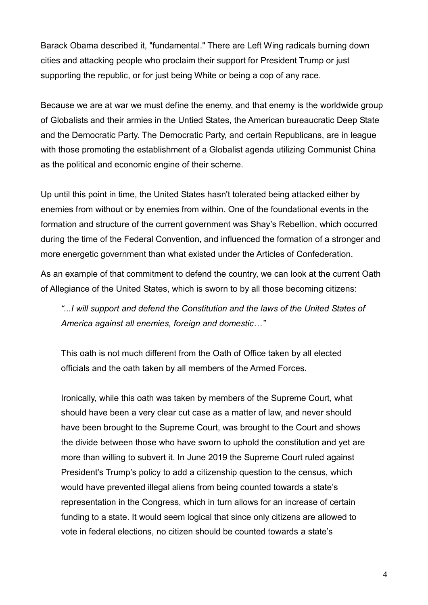Barack Obama described it, "fundamental." There are Left Wing radicals burning down cities and attacking people who proclaim their support for President Trump or just supporting the republic, or for just being White or being a cop of any race.

Because we are at war we must define the enemy, and that enemy is the worldwide group of Globalists and their armies in the Untied States, the American bureaucratic Deep State and the Democratic Party. The Democratic Party, and certain Republicans, are in league with those promoting the establishment of a Globalist agenda utilizing Communist China as the political and economic engine of their scheme.

Up until this point in time, the United States hasn't tolerated being attacked either by enemies from without or by enemies from within. One of the foundational events in the formation and structure of the current government was Shay's Rebellion, which occurred during the time of the Federal Convention, and influenced the formation of a stronger and more energetic government than what existed under the Articles of Confederation.

As an example of that commitment to defend the country, we can look at the current Oath of Allegiance of the United States, which is sworn to by all those becoming citizens:

*"...I will support and defend the Constitution and the laws of the United States of America against all enemies, foreign and domestic…"*

This oath is not much different from the Oath of Office taken by all elected officials and the oath taken by all members of the Armed Forces.

Ironically, while this oath was taken by members of the Supreme Court, what should have been a very clear cut case as a matter of law, and never should have been brought to the Supreme Court, was brought to the Court and shows the divide between those who have sworn to uphold the constitution and yet are more than willing to subvert it. In June 2019 the Supreme Court ruled against President's Trump's policy to add a citizenship question to the census, which would have prevented illegal aliens from being counted towards a state's representation in the Congress, which in turn allows for an increase of certain funding to a state. It would seem logical that since only citizens are allowed to vote in federal elections, no citizen should be counted towards a state's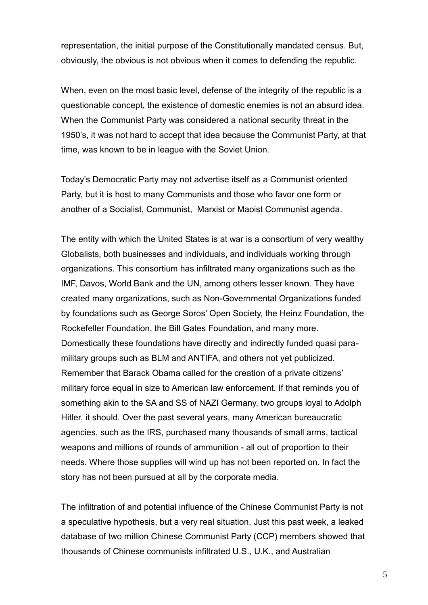representation, the initial purpose of the Constitutionally mandated census. But, obviously, the obvious is not obvious when it comes to defending the republic.

When, even on the most basic level, defense of the integrity of the republic is a questionable concept, the existence of domestic enemies is not an absurd idea. When the Communist Party was considered a national security threat in the 1950's, it was not hard to accept that idea because the Communist Party, at that time, was known to be in league with the Soviet Union.

Today's Democratic Party may not advertise itself as a Communist oriented Party, but it is host to many Communists and those who favor one form or another of a Socialist, Communist, Marxist or Maoist Communist agenda.

The entity with which the United States is at war is a consortium of very wealthy Globalists, both businesses and individuals, and individuals working through organizations. This consortium has infiltrated many organizations such as the IMF, Davos, World Bank and the UN, among others lesser known. They have created many organizations, such as Non-Governmental Organizations funded by foundations such as George Soros' Open Society, the Heinz Foundation, the Rockefeller Foundation, the Bill Gates Foundation, and many more. Domestically these foundations have directly and indirectly funded quasi paramilitary groups such as BLM and ANTIFA, and others not yet publicized. Remember that Barack Obama called for the creation of a private citizens' military force equal in size to American law enforcement. If that reminds you of something akin to the SA and SS of NAZI Germany, two groups loyal to Adolph Hitler, it should. Over the past several years, many American bureaucratic agencies, such as the IRS, purchased many thousands of small arms, tactical weapons and millions of rounds of ammunition - all out of proportion to their needs. Where those supplies will wind up has not been reported on. In fact the story has not been pursued at all by the corporate media.

The infiltration of and potential influence of the Chinese Communist Party is not a speculative hypothesis, but a very real situation. Just this past week, a leaked database of two million Chinese Communist Party (CCP) members showed that thousands of Chinese communists infiltrated U.S., U.K., and Australian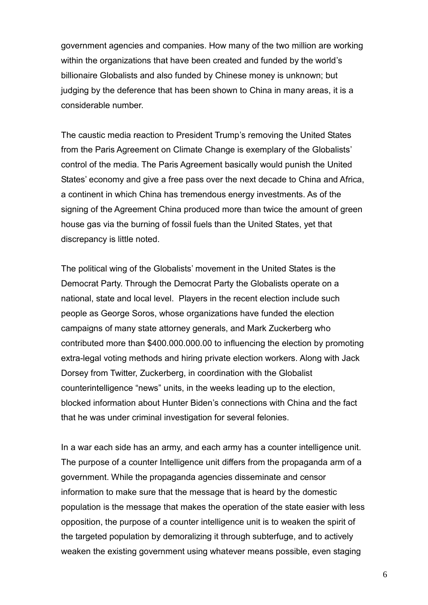government agencies and companies. How many of the two million are working within the organizations that have been created and funded by the world's billionaire Globalists and also funded by Chinese money is unknown; but judging by the deference that has been shown to China in many areas, it is a considerable number.

The caustic media reaction to President Trump's removing the United States from the Paris Agreement on Climate Change is exemplary of the Globalists' control of the media. The Paris Agreement basically would punish the United States' economy and give a free pass over the next decade to China and Africa, a continent in which China has tremendous energy investments. As of the signing of the Agreement China produced more than twice the amount of green house gas via the burning of fossil fuels than the United States, yet that discrepancy is little noted.

The political wing of the Globalists' movement in the United States is the Democrat Party. Through the Democrat Party the Globalists operate on a national, state and local level. Players in the recent election include such people as George Soros, whose organizations have funded the election campaigns of many state attorney generals, and Mark Zuckerberg who contributed more than \$400.000.000.00 to influencing the election by promoting extra-legal voting methods and hiring private election workers. Along with Jack Dorsey from Twitter, Zuckerberg, in coordination with the Globalist counterintelligence "news" units, in the weeks leading up to the election, blocked information about Hunter Biden's connections with China and the fact that he was under criminal investigation for several felonies.

In a war each side has an army, and each army has a counter intelligence unit. The purpose of a counter Intelligence unit differs from the propaganda arm of a government. While the propaganda agencies disseminate and censor information to make sure that the message that is heard by the domestic population is the message that makes the operation of the state easier with less opposition, the purpose of a counter intelligence unit is to weaken the spirit of the targeted population by demoralizing it through subterfuge, and to actively weaken the existing government using whatever means possible, even staging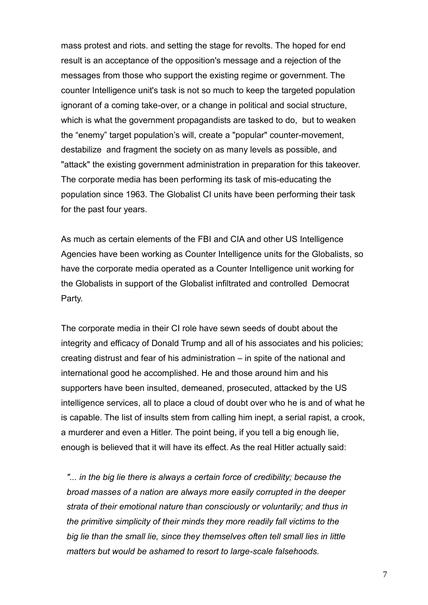mass protest and riots. and setting the stage for revolts. The hoped for end result is an acceptance of the opposition's message and a rejection of the messages from those who support the existing regime or government. The counter Intelligence unit's task is not so much to keep the targeted population ignorant of a coming take-over, or a change in political and social structure, which is what the government propagandists are tasked to do, but to weaken the "enemy" target population's will, create a "popular" counter-movement, destabilize and fragment the society on as many levels as possible, and "attack" the existing government administration in preparation for this takeover. The corporate media has been performing its task of mis-educating the population since 1963. The Globalist CI units have been performing their task for the past four years.

As much as certain elements of the FBI and CIA and other US Intelligence Agencies have been working as Counter Intelligence units for the Globalists, so have the corporate media operated as a Counter Intelligence unit working for the Globalists in support of the Globalist infiltrated and controlled Democrat Party.

The corporate media in their CI role have sewn seeds of doubt about the integrity and efficacy of Donald Trump and all of his associates and his policies; creating distrust and fear of his administration – in spite of the national and international good he accomplished. He and those around him and his supporters have been insulted, demeaned, prosecuted, attacked by the US intelligence services, all to place a cloud of doubt over who he is and of what he is capable. The list of insults stem from calling him inept, a serial rapist, a crook, a murderer and even a Hitler. The point being, if you tell a big enough lie, enough is believed that it will have its effect. As the real Hitler actually said:

*"... in the big lie there is always a certain force of credibility; because the broad masses of a nation are always more easily corrupted in the deeper strata of their emotional nature than consciously or voluntarily; and thus in the primitive simplicity of their minds they more readily fall victims to the big lie than the small lie, since they themselves often tell small lies in little matters but would be ashamed to resort to large-scale falsehoods.*